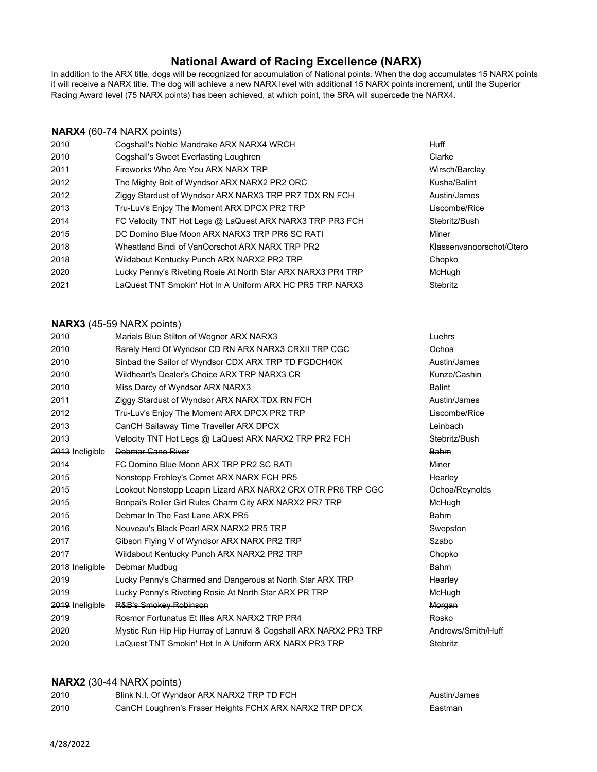# **National Award of Racing Excellence (NARX)**

In addition to the ARX title, dogs will be recognized for accumulation of National points. When the dog accumulates 15 NARX points it will receive a NARX title. The dog will achieve a new NARX level with additional 15 NARX points increment, until the Superior Racing Award level (75 NARX points) has been achieved, at which point, the SRA will supercede the NARX4.

## **NARX4** (60-74 NARX points)

| 2010 | Cogshall's Noble Mandrake ARX NARX4 WRCH                     | Huff                     |
|------|--------------------------------------------------------------|--------------------------|
| 2010 | Cogshall's Sweet Everlasting Loughren                        | Clarke                   |
| 2011 | Fireworks Who Are You ARX NARX TRP                           | Wirsch/Barclay           |
| 2012 | The Mighty Bolt of Wyndsor ARX NARX2 PR2 ORC                 | Kusha/Balint             |
| 2012 | Ziggy Stardust of Wyndsor ARX NARX3 TRP PR7 TDX RN FCH       | Austin/James             |
| 2013 | Tru-Luv's Enjoy The Moment ARX DPCX PR2 TRP                  | Liscombe/Rice            |
| 2014 | FC Velocity TNT Hot Legs @ LaQuest ARX NARX3 TRP PR3 FCH     | Stebritz/Bush            |
| 2015 | DC Domino Blue Moon ARX NARX3 TRP PR6 SC RATI                | Miner                    |
| 2018 | Wheatland Bindi of VanOorschot ARX NARX TRP PR2              | Klassenvanoorschot/Otero |
| 2018 | Wildabout Kentucky Punch ARX NARX2 PR2 TRP                   | Chopko                   |
| 2020 | Lucky Penny's Riveting Rosie At North Star ARX NARX3 PR4 TRP | McHugh                   |
| 2021 | LaQuest TNT Smokin' Hot In A Uniform ARX HC PR5 TRP NARX3    | Stebritz                 |
|      |                                                              |                          |

#### **NARX3** (45-59 NARX points)

| 2010            | Marials Blue Stilton of Wegner ARX NARX3                          | Luehrs             |
|-----------------|-------------------------------------------------------------------|--------------------|
| 2010            | Rarely Herd Of Wyndsor CD RN ARX NARX3 CRXII TRP CGC              | Ochoa              |
| 2010            | Sinbad the Sailor of Wyndsor CDX ARX TRP TD FGDCH40K              | Austin/James       |
| 2010            | Wildheart's Dealer's Choice ARX TRP NARX3 CR                      | Kunze/Cashin       |
| 2010            | Miss Darcy of Wyndsor ARX NARX3                                   | <b>Balint</b>      |
| 2011            | Ziggy Stardust of Wyndsor ARX NARX TDX RN FCH                     | Austin/James       |
| 2012            | Tru-Luv's Enjoy The Moment ARX DPCX PR2 TRP                       | Liscombe/Rice      |
| 2013            | CanCH Sailaway Time Traveller ARX DPCX                            | Leinbach           |
| 2013            | Velocity TNT Hot Legs @ LaQuest ARX NARX2 TRP PR2 FCH             | Stebritz/Bush      |
| 2013 Ineligible | Debmar Cane River                                                 | <b>Bahm</b>        |
| 2014            | FC Domino Blue Moon ARX TRP PR2 SC RATI                           | Miner              |
| 2015            | Nonstopp Frehley's Comet ARX NARX FCH PR5                         | Hearley            |
| 2015            | Lookout Nonstopp Leapin Lizard ARX NARX2 CRX OTR PR6 TRP CGC      | Ochoa/Reynolds     |
| 2015            | Bonpai's Roller Girl Rules Charm City ARX NARX2 PR7 TRP           | McHugh             |
| 2015            | Debmar In The Fast Lane ARX PR5                                   | Bahm               |
| 2016            | Nouveau's Black Pearl ARX NARX2 PR5 TRP                           | Swepston           |
| 2017            | Gibson Flying V of Wyndsor ARX NARX PR2 TRP                       | Szabo              |
| 2017            | Wildabout Kentucky Punch ARX NARX2 PR2 TRP                        | Chopko             |
| 2018 Ineligible | Debmar Mudbug                                                     | Bahm               |
| 2019            | Lucky Penny's Charmed and Dangerous at North Star ARX TRP         | Hearley            |
| 2019            | Lucky Penny's Riveting Rosie At North Star ARX PR TRP             | McHugh             |
| 2019 Ineligible | R&B's Smokey Robinson                                             | Morgan             |
| 2019            | Rosmor Fortunatus Et Illes ARX NARX2 TRP PR4                      | Rosko              |
| 2020            | Mystic Run Hip Hip Hurray of Lanruvi & Cogshall ARX NARX2 PR3 TRP | Andrews/Smith/Huff |
| 2020            | LaQuest TNT Smokin' Hot In A Uniform ARX NARX PR3 TRP             | Stebritz           |

## **NARX2** (30-44 NARX points)

| 2010 | Blink N.I. Of Wyndsor ARX NARX2 TRP TD FCH              | Austin/James |
|------|---------------------------------------------------------|--------------|
| 2010 | CanCH Loughren's Fraser Heights FCHX ARX NARX2 TRP DPCX | Eastman      |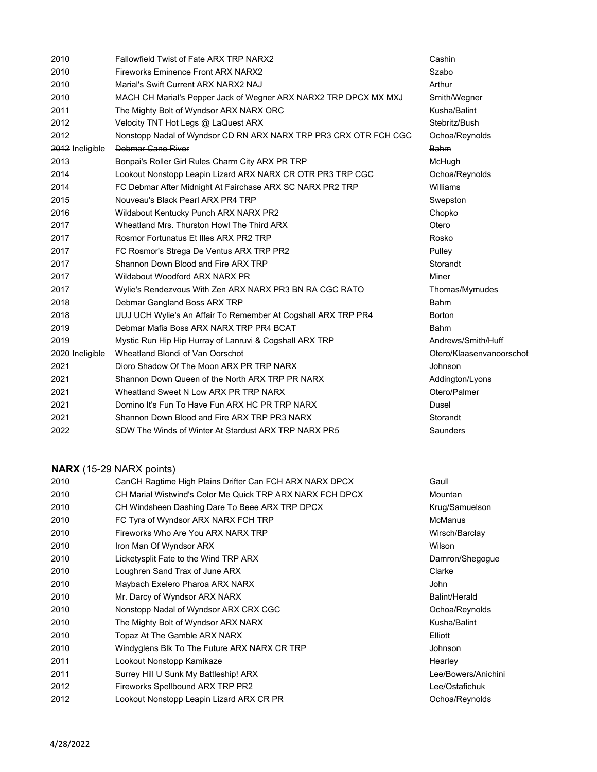| 2010            | Fallowfield Twist of Fate ARX TRP NARX2                          | Cashin        |
|-----------------|------------------------------------------------------------------|---------------|
| 2010            | <b>Fireworks Eminence Front ARX NARX2</b>                        | Szabo         |
| 2010            | Marial's Swift Current ARX NARX2 NAJ                             | Arthur        |
| 2010            | MACH CH Marial's Pepper Jack of Wegner ARX NARX2 TRP DPCX MX MXJ | Smith/We      |
| 2011            | The Mighty Bolt of Wyndsor ARX NARX ORC                          | Kusha/Ba      |
| 2012            | Velocity TNT Hot Legs @ LaQuest ARX                              | Stebritz/B    |
| 2012            | Nonstopp Nadal of Wyndsor CD RN ARX NARX TRP PR3 CRX OTR FCH CGC | Ochoa/Re      |
| 2012 Ineligible | Debmar Cane River                                                | <b>Bahm</b>   |
| 2013            | Bonpai's Roller Girl Rules Charm City ARX PR TRP                 | McHugh        |
| 2014            | Lookout Nonstopp Leapin Lizard ARX NARX CR OTR PR3 TRP CGC       | Ochoa/Re      |
| 2014            | FC Debmar After Midnight At Fairchase ARX SC NARX PR2 TRP        | Williams      |
| 2015            | Nouveau's Black Pearl ARX PR4 TRP                                | Swepston      |
| 2016            | Wildabout Kentucky Punch ARX NARX PR2                            | Chopko        |
| 2017            | Wheatland Mrs. Thurston Howl The Third ARX                       | Otero         |
| 2017            | Rosmor Fortunatus Et Illes ARX PR2 TRP                           | Rosko         |
| 2017            | FC Rosmor's Strega De Ventus ARX TRP PR2                         | Pulley        |
| 2017            | Shannon Down Blood and Fire ARX TRP                              | Storandt      |
| 2017            | Wildabout Woodford ARX NARX PR                                   | Miner         |
| 2017            | Wylie's Rendezvous With Zen ARX NARX PR3 BN RA CGC RATO          | Thomas/N      |
| 2018            | Debmar Gangland Boss ARX TRP                                     | <b>Bahm</b>   |
| 2018            | UUJ UCH Wylie's An Affair To Remember At Cogshall ARX TRP PR4    | <b>Borton</b> |
| 2019            | Debmar Mafia Boss ARX NARX TRP PR4 BCAT                          | <b>Bahm</b>   |
| 2019            | Mystic Run Hip Hip Hurray of Lanruvi & Cogshall ARX TRP          | Andrews/      |
| 2020 Ineligible | Wheatland Blondi of Van Oorschot                                 | Otero/Kla     |
| 2021            | Dioro Shadow Of The Moon ARX PR TRP NARX                         | Johnson       |
| 2021            | Shannon Down Queen of the North ARX TRP PR NARX                  | Addington     |
| 2021            | Wheatland Sweet N Low ARX PR TRP NARX                            | Otero/Palı    |
| 2021            | Domino It's Fun To Have Fun ARX HC PR TRP NARX                   | <b>Dusel</b>  |
| 2021            | Shannon Down Blood and Fire ARX TRP PR3 NARX                     | Storandt      |
| 2022            | SDW The Winds of Winter At Stardust ARX TRP NARX PR5             | Saunders      |

# **NARX** (15-29 NARX points)

| 2010 | CanCH Ragtime High Plains Drifter Can FCH ARX NARX DPCX   | Gaull               |
|------|-----------------------------------------------------------|---------------------|
| 2010 | CH Marial Wistwind's Color Me Quick TRP ARX NARX FCH DPCX | Mountan             |
| 2010 | CH Windsheen Dashing Dare To Beee ARX TRP DPCX            | Krug/Samuelson      |
| 2010 | FC Tyra of Wyndsor ARX NARX FCH TRP                       | <b>McManus</b>      |
| 2010 | Fireworks Who Are You ARX NARX TRP                        | Wirsch/Barclay      |
| 2010 | Iron Man Of Wyndsor ARX                                   | Wilson              |
| 2010 | Licketysplit Fate to the Wind TRP ARX                     | Damron/Shegogue     |
| 2010 | Loughren Sand Trax of June ARX                            | Clarke              |
| 2010 | Maybach Exelero Pharoa ARX NARX                           | John                |
| 2010 | Mr. Darcy of Wyndsor ARX NARX                             | Balint/Herald       |
| 2010 | Nonstopp Nadal of Wyndsor ARX CRX CGC                     | Ochoa/Reynolds      |
| 2010 | The Mighty Bolt of Wyndsor ARX NARX                       | Kusha/Balint        |
| 2010 | Topaz At The Gamble ARX NARX                              | Elliott             |
| 2010 | Windyglens Blk To The Future ARX NARX CR TRP              | <b>Johnson</b>      |
| 2011 | Lookout Nonstopp Kamikaze                                 | Hearley             |
| 2011 | Surrey Hill U Sunk My Battleship! ARX                     | Lee/Bowers/Anichini |
| 2012 | Fireworks Spellbound ARX TRP PR2                          | Lee/Ostafichuk      |
| 2012 | Lookout Nonstopp Leapin Lizard ARX CR PR                  | Ochoa/Reynolds      |
|      |                                                           |                     |

Smith/Wegner Kusha/Balint Stebritz/Bush C Ochoa/Reynolds Ochoa/Reynolds Thomas/Mymudes Andrews/Smith/Huff Otero/Klaasenvanoorschot Addington/Lyons Otero/Palmer